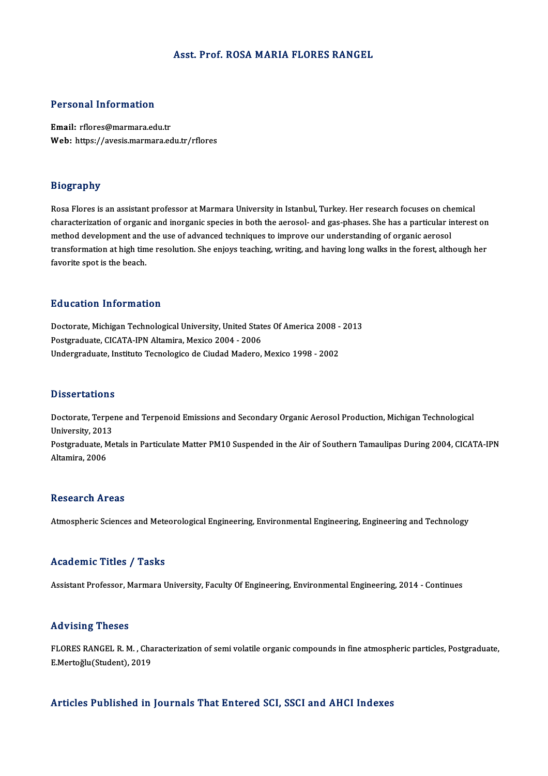# Asst. Prof. ROSAMARIA FLORES RANGEL

# Personal Information

Email: rflores@marmara.edu.tr Web: https://avesis.marmara.edu.tr/rflores

## Biography

Rosa Flores is an assistant professor at Marmara University in Istanbul, Turkey. Her research focuses on chemical exceptions.<br>Rosa Flores is an assistant professor at Marmara University in Istanbul, Turkey. Her research focuses on chemical<br>characterization of organic and inorganic species in both the aerosol- and gas-phases. She has a Rosa Flores is an assistant professor at Marmara University in Istanbul, Turkey. Her research focuses on chor<br>characterization of organic and inorganic species in both the aerosol- and gas-phases. She has a particular in<br>m characterization of organic and inorganic species in both the aerosol- and gas-phases. She has a particular interest on<br>method development and the use of advanced techniques to improve our understanding of organic aerosol<br> method development and<br>transformation at high tin<br>favorite spot is the beach. favorite spot is the beach.<br>Education Information

Education Information<br>Doctorate, Michigan Technological University, United States Of America 2008 - 2013<br>Restaugduate CICATA IPN Altamina Maviga 2004 - 2006 Posteducton Thron Matron<br>Doctorate, Michigan Technological University, United Stat<br>Postgraduate, CICATA-IPN Altamira, Mexico 2004 - 2006<br>Undergraduate, Institute Tecnologica de Gudad Madere Doctorate, Michigan Technological University, United States Of America 2008 -<br>Postgraduate, CICATA-IPN Altamira, Mexico 2004 - 2006<br>Undergraduate, Instituto Tecnologico de Ciudad Madero, Mexico 1998 - 2002 Undergraduate, Instituto Tecnologico de Ciudad Madero, Mexico 1998 - 2002<br>Dissertations

Dissertations<br>Doctorate, Terpene and Terpenoid Emissions and Secondary Organic Aerosol Production, Michigan Technological<br>University, 2012 Dissolitations<br>Doctorate, Terpe<br>University, 2013<br>Postareduate, Me Doctorate, Terpene and Terpenoid Emissions and Secondary Organic Aerosol Production, Michigan Technological<br>University, 2013<br>Postgraduate, Metals in Particulate Matter PM10 Suspended in the Air of Southern Tamaulipas Durin University, 2013<br>Postgraduate, Metals in Particulate Matter PM10 Suspended in the Air of Southern Tamaulipas During 2004, CICATA-IPN<br>Altamira, 2006

# **Research Areas**

Atmospheric Sciences and Meteorological Engineering, Environmental Engineering, Engineering and Technology

### Academic Titles / Tasks

Assistant Professor, Marmara University, Faculty Of Engineering, Environmental Engineering, 2014 - Continues

### Advising Theses

Advising Theses<br>FLORES RANGEL R. M. , Characterization of semi volatile organic compounds in fine atmospheric particles, Postgraduate,<br>E Marteğlu(Student), 2019 rta vising "ricses"<br>FLORES RANGEL R. M. , Cha<br>E.Mertoğlu(Student), 2019 Articles Published in Journals That Entered SCI, SSCI and AHCI Indexes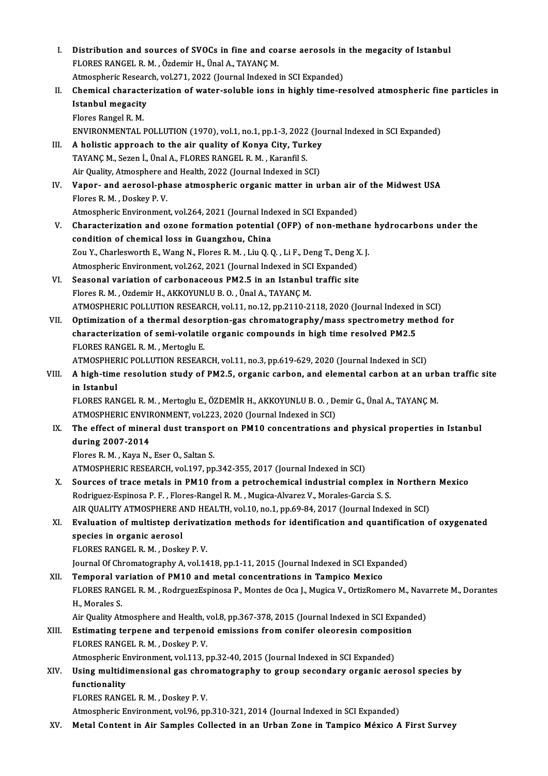| L.    | Distribution and sources of SVOCs in fine and coarse aerosols in the megacity of Istanbul                     |
|-------|---------------------------------------------------------------------------------------------------------------|
|       | FLORES RANGEL R. M., Özdemir H., Ünal A., TAYANÇ M.                                                           |
|       | Atmospheric Research, vol.271, 2022 (Journal Indexed in SCI Expanded)                                         |
| П.    | Chemical characterization of water-soluble ions in highly time-resolved atmospheric fine particles in         |
|       | <b>Istanbul megacity</b>                                                                                      |
|       | Flores Rangel R. M.                                                                                           |
|       | ENVIRONMENTAL POLLUTION (1970), vol.1, no.1, pp.1-3, 2022 (Journal Indexed in SCI Expanded)                   |
| III.  | A holistic approach to the air quality of Konya City, Turkey                                                  |
|       | TAYANÇ M., Sezen İ., Ünal A., FLORES RANGEL R. M., Karanfil S.                                                |
|       | Air Quality, Atmosphere and Health, 2022 (Journal Indexed in SCI)                                             |
| IV.   | Vapor- and aerosol-phase atmospheric organic matter in urban air of the Midwest USA                           |
|       | Flores R. M., Doskey P. V.                                                                                    |
|       | Atmospheric Environment, vol.264, 2021 (Journal Indexed in SCI Expanded)                                      |
| V.    | Characterization and ozone formation potential (OFP) of non-methane hydrocarbons under the                    |
|       | condition of chemical loss in Guangzhou, China                                                                |
|       | Zou Y., Charlesworth E., Wang N., Flores R. M., Liu Q. Q., Li F., Deng T., Deng X. J.                         |
|       | Atmospheric Environment, vol.262, 2021 (Journal Indexed in SCI Expanded)                                      |
| VI.   | Seasonal variation of carbonaceous PM2.5 in an Istanbul traffic site                                          |
|       | Flores R. M., Ozdemir H., AKKOYUNLU B. O., Ünal A., TAYANÇ M.                                                 |
|       | ATMOSPHERIC POLLUTION RESEARCH, vol.11, no.12, pp.2110-2118, 2020 (Journal Indexed in SCI)                    |
| VII.  | Optimization of a thermal desorption-gas chromatography/mass spectrometry method for                          |
|       | characterization of semi-volatile organic compounds in high time resolved PM2.5                               |
|       | FLORES RANGEL R. M., Mertoglu E.                                                                              |
|       | ATMOSPHERIC POLLUTION RESEARCH, vol.11, no.3, pp.619-629, 2020 (Journal Indexed in SCI)                       |
| VIII. | A high-time resolution study of PM2.5, organic carbon, and elemental carbon at an urban traffic site          |
|       | in Istanbul                                                                                                   |
|       | FLORES RANGEL R. M., Mertoglu E., ÖZDEMİR H., AKKOYUNLU B. O., Demir G., Ünal A., TAYANÇ M.                   |
|       | ATMOSPHERIC ENVIRONMENT, vol.223, 2020 (Journal Indexed in SCI)                                               |
| IX.   | The effect of mineral dust transport on PM10 concentrations and physical properties in Istanbul               |
|       | during 2007-2014                                                                                              |
|       | Flores R. M., Kaya N., Eser O., Saltan S.                                                                     |
|       | ATMOSPHERIC RESEARCH, vol.197, pp.342-355, 2017 (Journal Indexed in SCI)                                      |
| Χ.    | Sources of trace metals in PM10 from a petrochemical industrial complex in Northern Mexico                    |
|       | Rodriguez-Espinosa P. F., Flores-Rangel R. M., Mugica-Alvarez V., Morales-Garcia S. S.                        |
|       | AIR QUALITY ATMOSPHERE AND HEALTH, vol.10, no.1, pp.69-84, 2017 (Journal Indexed in SCI)                      |
| XI.   | Evaluation of multistep derivatization methods for identification and quantification of oxygenated            |
|       | species in organic aerosol                                                                                    |
|       | FLORES RANGEL R. M., Doskey P. V.                                                                             |
|       | Journal Of Chromatography A, vol.1418, pp.1-11, 2015 (Journal Indexed in SCI Expanded)                        |
| XII.  | Temporal variation of PM10 and metal concentrations in Tampico Mexico                                         |
|       | FLORES RANGEL R. M., RodrguezEspinosa P., Montes de Oca J., Mugica V., OrtizRomero M., Navarrete M., Dorantes |
|       | H., Morales S.                                                                                                |
|       | Air Quality Atmosphere and Health, vol.8, pp.367-378, 2015 (Journal Indexed in SCI Expanded)                  |
| XIII. | Estimating terpene and terpenoid emissions from conifer oleoresin composition                                 |
|       | FLORES RANGEL R. M., Doskey P. V.                                                                             |
|       | Atmospheric Environment, vol.113, pp.32-40, 2015 (Journal Indexed in SCI Expanded)                            |
| XIV.  | Using multidimensional gas chromatography to group secondary organic aerosol species by                       |
|       | functionality                                                                                                 |
|       | FLORES RANGEL R. M., Doskey P. V.                                                                             |
|       | Atmospheric Environment, vol.96, pp.310-321, 2014 (Journal Indexed in SCI Expanded)                           |
| XV.   | Metal Content in Air Samples Collected in an Urban Zone in Tampico México A First Survey                      |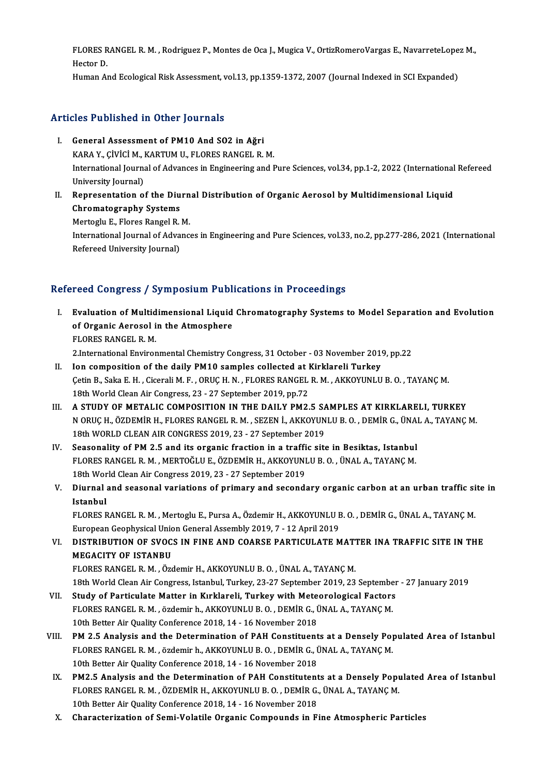FLORES RANGEL R. M. , Rodriguez P., Montes de Oca J., Mugica V., OrtizRomeroVargas E., NavarreteLopez M.,<br>Hester D. FLORES R<br>Hector D.<br>Human Al FLORES RANGEL R. M. , Rodriguez P., Montes de Oca J., Mugica V., OrtizRomeroVargas E., NavarreteLope<br>Hector D.<br>Human And Ecological Risk Assessment, vol.13, pp.1359-1372, 2007 (Journal Indexed in SCI Expanded)

Human And Ecological Risk Assessment, vol.13, pp.1359-1372, 2007 (Journal Indexed in SCI Expanded)<br>Articles Published in Other Journals

- I. General Assessment of PM10 And SO2 in Ağri XIII TU SHISHING THE SHISH JOURNALIS<br>General Assessment of PM10 And SO2 in Ağri<br>KARA Y., ÇİVİCİ M., KARTUM U., FLORES RANGEL R. M.<br>International Journal of Advances in Engineering and I International Journal of Advances in Engineering and Pure Sciences, vol.34, pp.1-2, 2022 (International Refereed University Journal) KARA Y., ÇİVİCİ M., I<br>International Journa<br>University Journal)<br>Bonresentation o International Journal of Advances in Engineering and Pure Sciences, vol.34, pp.1-2, 2022 (International<br>University Journal)<br>II. Representation of the Diurnal Distribution of Organic Aerosol by Multidimensional Liquid<br>Chrom
- University Journal)<br>Representation of the Diu<br>Chromatography Systems<br>Mettegly E. Flares Bangel B. Representation of the Diurn<br>Chromatography Systems<br>Mertoglu E., Flores Rangel R. M.<br>International Journal of Advance Chromatography Systems<br>Mertoglu E., Flores Rangel R. M.<br>International Journal of Advances in Engineering and Pure Sciences, vol.33, no.2, pp.277-286, 2021 (International

Mertoglu E., Flores Rangel R.<br>International Journal of Adva<br>Refereed University Journal)

# Refereed University Journal)<br>Refereed Congress / Symposium Publications in Proceedings

- efereed Congress / Symposium Publications in Proceedings<br>I. Evaluation of Multidimensional Liquid Chromatography Systems to Model Separation and Evolution<br>of Organic Aerosel in the Atmosphere **Evaluation of Multidimensional Liquid<br>Evaluation of Multidimensional Liquid<br>FLORES PANCEL B M** Evaluation of Multid<br>of Organic Aerosol i<br>FLORES RANGEL R.M.<br>2 International Enviror of Organic Aerosol in the Atmosphere<br>FLORES RANGEL R. M.<br>2.International Environmental Chemistry Congress, 31 October - 03 November 2019, pp.22 FLORES RANGEL R. M.<br>2.International Environmental Chemistry Congress, 31 October - 03 November 2019<br>II. Ion composition of the daily PM10 samples collected at Kirklareli Turkey<br>Cotin B. Solin E. H. Cicoreli M. E. OBUC H. N
- Çetin B., Saka E. H. , Cicerali M. F. , ORUÇ H. N. , FLORES RANGEL R. M. , AKKOYUNLU B. O. , TAYANÇ M.<br>18th World Clean Air Congress, 23 27 September 2019, pp.72 18th Composition of the daily PM10 samples collected at 1<br>18th B., Saka E. H. , Cicerali M. F. , ORUÇ H. N. , FLORES RANGEL<br>18th World Clean Air Congress, 23 - 27 September 2019, pp.72<br>1. STUDY OF METALIC COMPOSITION IN TH Cetin B., Saka E. H., Cicerali M. F., ORUC H. N., FLORES RANGEL R. M., AKKOYUNLU B. O., TAYANC M.<br>18th World Clean Air Congress, 23 - 27 September 2019, pp.72<br>III. A STUDY OF METALIC COMPOSITION IN THE DAILY PM2.5 SAMPLES
- N ORUÇ H., ÖZDEMİR H., FLORES RANGEL R. M. , SEZEN İ., AKKOYUNLU B. O. , DEMİR G., ÜNAL A., TAYANÇ M.<br>18th WORLD CLEAN AIR CONGRESS 2019, 23 27 September 2019 A STUDY OF METALIC COMPOSITION IN THE DAILY PM2.5 SA<br>N ORUÇ H., ÖZDEMİR H., FLORES RANGEL R. M. , SEZEN İ., AKKOYUN<br>18th WORLD CLEAN AIR CONGRESS 2019, 23 - 27 September 2019<br>Secondality of PM 3 5 and its exsanis frastion N ORUÇ H., ÖZDEMİR H., FLORES RANGEL R. M., SEZEN İ., AKKOYUNLU B. O., DEMİR G., ÜNAI<br>18th WORLD CLEAN AIR CONGRESS 2019, 23 - 27 September 2019<br>IV. Seasonality of PM 2.5 and its organic fraction in a traffic site in Besik
- 18th WORLD CLEAN AIR CONGRESS 2019, 23 27 September 2019<br>Seasonality of PM 2.5 and its organic fraction in a traffic site in Besiktas, Istanbul<br>FLORES RANGEL R. M. , MERTOĞLU E., ÖZDEMİR H., AKKOYUNLU B. O. , ÜNAL A., TA Seasonality of PM 2.5 and its organic fraction in a traffi<br>FLORES RANGEL R. M. , MERTOĞLU E., ÖZDEMİR H., AKKOYUNI<br>18th World Clean Air Congress 2019, 23 - 27 September 2019<br>Diurnal and seasonal variations of nrimery and s FLORES RANGEL R. M. , MERTOĞLU E., ÖZDEMİR H., AKKOYUNLU B. O. , ÜNAL A., TAYANÇ M.<br>18th World Clean Air Congress 2019, 23 - 27 September 2019<br>V. Diurnal and seasonal variations of primary and secondary organic carbon
- 18th Wor<br>Diurnal<br>Istanbul<br>ELOPES E Diurnal and seasonal variations of primary and secondary organic carbon at an urban traffic si<br>Istanbul<br>FLORES RANGEL R. M. , Mertoglu E., Pursa A., Özdemir H., AKKOYUNLU B. O. , DEMİR G., ÜNAL A., TAYANÇ M.<br>European Cooph

I<mark>stanbul</mark><br>FLORES RANGEL R. M. , Mertoglu E., Pursa A., Özdemir H., AKKOYUNLU E<br>European Geophysical Union General Assembly 2019, 7 - 12 April 2019<br>DISTRIRUTION OF SVOCS IN FINE AND COARSE RARTICULATE M FLORES RANGEL R. M. , Mertoglu E., Pursa A., Özdemir H., AKKOYUNLU B. O. , DEMİR G., ÜNAL A., TAYANÇ M.<br>European Geophysical Union General Assembly 2019, 7 - 12 April 2019<br>VI. DISTRIBUTION OF SVOCS IN FINE AND COARSE PARTI

European Geophysical Union<br>DISTRIBUTION OF SVOC:<br>MEGACITY OF ISTANBU<br>ELOPES PANCEL P. M. ÖTG DISTRIBUTION OF SVOCS IN FINE AND COARSE PARTICULATE MATT<br>MEGACITY OF ISTANBU<br>FLORES RANGEL R. M. , Özdemir H., AKKOYUNLU B. O. , ÜNAL A., TAYANÇ M.<br>19th World Clean Air Congress, Istanbul Turkey, 22, 27 Sentember 2019, 22 MEGACITY OF ISTANBU<br>18th World Clean Air, Özdemir H., AKKOYUNLU B. O. , ÜNAL A., TAYANÇ M.<br>18th World Clean Air Congress, Istanbul, Turkey, 23-27 September 2019, 23 September - 27 January 2019

- VII. Study of Particulate Matter in Kırklareli, Turkey with Meteorological Factors 18th World Clean Air Congress, Istanbul, Turkey, 23-27 September 2019, 23 Septembe<br>Study of Particulate Matter in Kırklareli, Turkey with Meteorological Factors<br>FLORES RANGEL R. M. , özdemir h., AKKOYUNLU B. O. , DEMİR G., Study of Particulate Matter in Kırklareli, Turkey with Mete<br>FLORES RANGEL R. M., özdemir h., AKKOYUNLU B. O., DEMİR G., İ<br>10th Better Air Quality Conference 2018, 14 - 16 November 2018<br>PM 2 E Anglysis and the Determination
- 10th Better Air Quality Conference 2018, 14 16 November 2018<br>VIII. PM 2.5 Analysis and the Determination of PAH Constituents at a Densely Populated Area of Istanbul 10th Better Air Quality Conference 2018, 14 - 16 November 2018<br>**PM 2.5 Analysis and the Determination of PAH Constituents at a Densely Po**<br>FLORES RANGEL R. M. , özdemir h., AKKOYUNLU B. O. , DEMİR G., ÜNAL A., TAYANÇ M.<br>10 PM 2.5 Analysis and the Determination of PAH Constituent<br>FLORES RANGEL R. M., özdemir h., AKKOYUNLU B. O., DEMİR G., İ<br>10th Better Air Quality Conference 2018, 14 - 16 November 2018<br>PM2 E. Analysis and the Determination of FLORES RANGEL R. M., özdemir h., AKKOYUNLU B. O., DEMİR G., ÜNAL A., TAYANÇ M.<br>10th Better Air Quality Conference 2018, 14 - 16 November 2018<br>IX. PM2.5 Analysis and the Determination of PAH Constitutents at a Densely Popul
	- 10th Better Air Quality Conference 2018, 14 16 November 2018<br>PM2.5 Analysis and the Determination of PAH Constitutents at a Densely Popu<br>FLORES RANGEL R. M. , ÖZDEMİR H., AKKOYUNLU B. O. , DEMİR G., ÜNAL A., TAYANÇ M.<br>10 PM2.5 Analysis and the Determination of PAH Constitutent<br>FLORES RANGEL R. M., ÖZDEMİR H., AKKOYUNLU B. O., DEMİR G.<br>10th Better Air Quality Conference 2018, 14 - 16 November 2018<br>Characterization of Somi Volatile Organis C FLORES RANGEL R. M. , ÖZDEMİR H., AKKOYUNLU B. O. , DEMİR G., ÜNAL A., TAYANÇ M.<br>10th Better Air Quality Conference 2018, 14 - 16 November 2018<br>X. Characterization of Semi-Volatile Organic Compounds in Fine Atmospheric Par
	-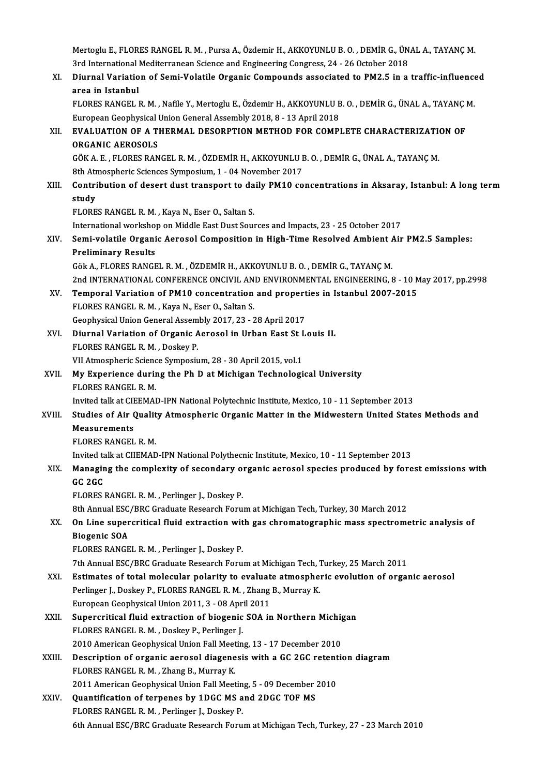Mertoglu E., FLORES RANGEL R. M. , Pursa A., Özdemir H., AKKOYUNLU B. O. , DEMİR G., ÜNAL A., TAYANÇ M.<br>2rd International Mediterranean Science and Engineering Congress 24, 26 Osteber 2019. Mertoglu E., FLORES RANGEL R. M. , Pursa A., Özdemir H., AKKOYUNLU B. O. , DEMİR G., ÜN.<br>3rd International Mediterranean Science and Engineering Congress, 24 - 26 October 2018<br>Diurnal Variation of Sami Valatile Oxsania Com Mertoglu E., FLORES RANGEL R. M. , Pursa A., Özdemir H., AKKOYUNLU B. O. , DEMİR G., ÜNAL A., TAYANÇ M.<br>3rd International Mediterranean Science and Engineering Congress, 24 - 26 October 2018<br>XI. Diurnal Variation of Semi-V 3rd International Mediterranean Science and Engineering Congress, 24 - 26 October 2018<br>XI. Diurnal Variation of Semi-Volatile Organic Compounds associated to PM2.5 in a traffic-influenced<br>area in Istanbul Diurnal Variation of Semi-Volatile Organic Compounds associated to PM2.5 in a traffic-influence<br>area in Istanbul<br>FLORES RANGEL R. M. , Nafile Y., Mertoglu E., Özdemir H., AKKOYUNLU B. O. , DEMİR G., ÜNAL A., TAYANÇ M.<br>Euro area in Istanbul<br>FLORES RANGEL R. M. , Nafile Y., Mertoglu E., Özdemir H., AKKOYUNLU B<br>European Geophysical Union General Assembly 2018, 8 - 13 April 2018<br>EVALUATION OF A THERMAL DESORRTION METHOD EOR COMPI FLORES RANGEL R. M. , Nafile Y., Mertoglu E., Özdemir H., AKKOYUNLU B. O. , DEMİR G., ÜNAL A., TAYANÇ |<br>European Geophysical Union General Assembly 2018, 8 - 13 April 2018<br>XII. EVALUATION OF A THERMAL DESORPTION METHOD European Geophysical<br>EVALUATION OF A TI<br>ORGANIC AEROSOLS<br>CÖKAE ELOPES BAN EVALUATION OF A THERMAL DESORPTION METHOD FOR COMPLETE CHARACTERIZATION<br>ORGANIC AEROSOLS<br>GÖK A. E. , FLORES RANGEL R. M. , ÖZDEMİR H., AKKOYUNLU B. O. , DEMİR G., ÜNAL A., TAYANÇ M.<br><sup>9th</sup> Atmograpic Sciences Symnosium 1, 0 ORGANIC AEROSOLS<br>GÖK A. E. , FLORES RANGEL R. M. , ÖZDEMİR H., AKKOYUNLU B. O. , DEMİR G., ÜNAL A., TAYANÇ M.<br>8th Atmospheric Sciences Symposium, 1 - 04 November 2017 GÖK A. E. , FLORES RANGEL R. M. , ÖZDEMİR H., AKKOYUNLU B. O. , DEMİR G., ÜNAL A., TAYANÇ M.<br>8th Atmospheric Sciences Symposium, 1 - 04 November 2017<br>XIII. Contribution of desert dust transport to daily PM10 concentrat **8th Atr<br>Contri<br>study<br>ELOPE** Contribution of desert dust transport to da<br>study<br>FLORES RANGEL R. M. , Kaya N., Eser O., Saltan S.<br>International worksbon on Middle Fest Dust Sour study<br>FLORES RANGEL R. M. , Kaya N., Eser O., Saltan S.<br>International workshop on Middle East Dust Sources and Impacts, 23 - 25 October 2017<br>Semi volatile Organia Aerosal Composition in High Time Beselved Ambient Air FLORES RANGEL R. M. , Kaya N., Eser O., Saltan S.<br>International workshop on Middle East Dust Sources and Impacts, 23 - 25 October 2017<br>XIV. Semi-volatile Organic Aerosol Composition in High-Time Resolved Ambient Air PM2.5 International worksho<br>Semi-volatile Organi<br>Preliminary Results<br>Cëk A. ELOPES RANCE Semi-volatile Organic Aerosol Composition in High-Time Resolved Ambient /<br>Preliminary Results<br>Gök A., FLORES RANGEL R. M. , ÖZDEMİR H., AKKOYUNLU B. O. , DEMİR G., TAYANÇ M.<br>2nd INTERNATIONAL CONEERENCE ONCIVIL AND ENVIRON Preliminary Results<br>Gök A., FLORES RANGEL R. M. , ÖZDEMİR H., AKKOYUNLU B. O. , DEMİR G., TAYANÇ M.<br>2nd INTERNATIONAL CONFERENCE ONCIVIL AND ENVIRONMENTAL ENGINEERING, 8 - 10 May 2017, pp.2998 Gök A., FLORES RANGEL R. M. , ÖZDEMIR H., AKKOYUNLU B. O. , DEMIR G., TAYANÇ M.<br>2nd INTERNATIONAL CONFERENCE ONCIVIL AND ENVIRONMENTAL ENGINEERING, 8 - 10 M<br>XV. Temporal Variation of PM10 concentration and properties in Is 2nd INTERNATIONAL CONFERENCE ONCIVIL AN<br>Temporal Variation of PM10 concentration<br>FLORES RANGEL R. M., Kaya N., Eser O., Saltan S. Temporal Variation of PM10 concentration and propert<br>FLORES RANGEL R. M. , Kaya N., Eser O., Saltan S.<br>Geophysical Union General Assembly 2017, 23 - 28 April 2017<br>Diurnal Variation of Organic Asrasol in Urban Fast St L FLORES RANGEL R. M. , Kaya N., Eser O., Saltan S.<br>Geophysical Union General Assembly 2017, 23 - 28 April 2017<br>XVI. Diurnal Variation of Organic Aerosol in Urban East St Louis IL<br>ELOPES RANGEL B. M. Dockay B. Geophysical Union General Assembly 2017, 23 - 28 April 2017<br>Diurnal Variation of Organic Aerosol in Urban East St I<br>FLORES RANGEL R. M., Doskey P. Diurnal Variation of Organic Aerosol in Urban East St I<br>FLORES RANGEL R. M. , Doskey P.<br>VII Atmospheric Science Symposium, 28 - 30 April 2015, vol.1<br>My Experience during the Bb D et Michigan Technologi XVII. My Experience during the Ph D at Michigan Technological University<br>FLORES RANGEL R. M. VII Atmospheric Science Symposium, 28 - 30 April 2015, vol 1 My Experience during the Ph D at Michigan Technological University<br>FLORES RANGEL R. M.<br>Invited talk at CIEEMAD-IPN National Polytechnic Institute, Mexico, 10 - 11 September 2013<br>Studies of Air Quality Atmospharis Organis M FLORES RANGEL R. M.<br>Invited talk at CIEEMAD-IPN National Polytechnic Institute, Mexico, 10 - 11 September 2013<br>XVIII. Studies of Air Quality Atmospheric Organic Matter in the Midwestern United States Methods and<br>Measuremen **Invited talk at CII<br>Studies of Air (<br>Measurements<br>ELOPES PANCEL Studies of Air Qualit<br>Measurements<br>FLORES RANGEL R. M.**<br>Invited talk at CUEMAP Measurements<br>FLORES RANGEL R. M.<br>Invited talk at CIIEMAD-IPN National Polythecnic Institute, Mexico, 10 - 11 September 2013 FLORES RANGEL R. M.<br>Invited talk at CIIEMAD-IPN National Polythecnic Institute, Mexico, 10 - 11 September 2013<br>XIX. Managing the complexity of secondary organic aerosol species produced by forest emissions with Invited ta<br>Managir<br>GC 2GC<br>ELOPES I Managing the complexity of secondary of<br>GC 2GC<br>FLORES RANGEL R. M. , Perlinger J., Doskey P.<br>8th Annual ESC (PRC Craduate Besearsh Ferm GC 2GC<br>FLORES RANGEL R. M. , Perlinger J., Doskey P.<br>8th Annual ESC/BRC Graduate Research Forum at Michigan Tech, Turkey, 30 March 2012<br>On Line aunergritigal fluid extrection with goe chromategraphic mass anostrome FLORES RANGEL R. M. , Perlinger J., Doskey P.<br>8th Annual ESC/BRC Graduate Research Forum at Michigan Tech, Turkey, 30 March 2012<br>XX. On Line supercritical fluid extraction with gas chromatographic mass spectrometric analys **8th Annual ESC<br>On Line super<br>Biogenic SOA<br>ELOPES PANCE** FLORES RANGEL R. M., Perlinger J., Doskey P. 7th Annual ESC/BRC Graduate Research Forum at Michigan Tech, Turkey, 25 March 2011 XXI. Estimates of total molecular polarity to evaluate atmospheric evolution of organic aerosol 7th Annual ESC/BRC Graduate Research Forum at Michigan Tech, 7<br>Estimates of total molecular polarity to evaluate atmosphe<br>Perlinger J., Doskey P., FLORES RANGEL R. M. , Zhang B., Murray K.<br>European Coophysical Union 2011 2 Estimates of total molecular polarity to evaluat<br>Perlinger J., Doskey P., FLORES RANGEL R. M. , Zhang<br>European Geophysical Union 2011, 3 - 08 April 2011<br>Supergritical fluid extraction of biogenis SOA in Perlinger J., Doskey P., FLORES RANGEL R. M., Zhang B., Murray K.<br>European Geophysical Union 2011, 3 - 08 April 2011<br>XXII. Supercritical fluid extraction of biogenic SOA in Northern Michigan European Geophysical Union 2011, 3 - 08 Apr.<br>Supercritical fluid extraction of biogenic<br>FLORES RANGEL R. M. , Doskey P., Perlinger J.<br>2010 American Geophysical Union Foll Meetin Supercritical fluid extraction of biogenic SOA in Northern Michig<br>FLORES RANGEL R. M. , Doskey P., Perlinger J.<br>2010 American Geophysical Union Fall Meeting, 13 - 17 December 2010<br>Description of extensis eerosel diagonesis FLORES RANGEL R. M., Doskey P., Perlinger J.<br>2010 American Geophysical Union Fall Meeting, 13 - 17 December 2010<br>XXIII. Description of organic aerosol diagenesis with a GC 2GC retention diagram 2010 American Geophysical Union Fall Meeting, 13 - 17 December 2010<br>Description of organic aerosol diagenesis with a GC 2GC retenti<br>FLORES RANGEL R. M., Zhang B., Murray K.<br>2011 American Geophysical Union Fall Meeting, 5 -Description of organic aerosol diagenesis with a GC 2GC retent<br>FLORES RANGEL R. M. , Zhang B., Murray K.<br>2011 American Geophysical Union Fall Meeting, 5 - 09 December 2010<br>Quantification of ternanes by 1DCC MS and 2DCC TOE FLORES RANGEL R. M., Zhang B., Murray K.<br>2011 American Geophysical Union Fall Meeting, 5 - 09 December .<br>XXIV. Quantification of terpenes by 1DGC MS and 2DGC TOF MS 2011 American Geophysical Union Fall Meetin<br>Quantification of terpenes by 1DGC MS a<br>FLORES RANGEL R. M. , Perlinger J., Doskey P.<br>Eth Annual ESC (PRC Craduate Besearsh Ferw FLORES RANGEL R. M. , Perlinger J., Doskey P.<br>6th Annual ESC/BRC Graduate Research Forum at Michigan Tech, Turkey, 27 - 23 March 2010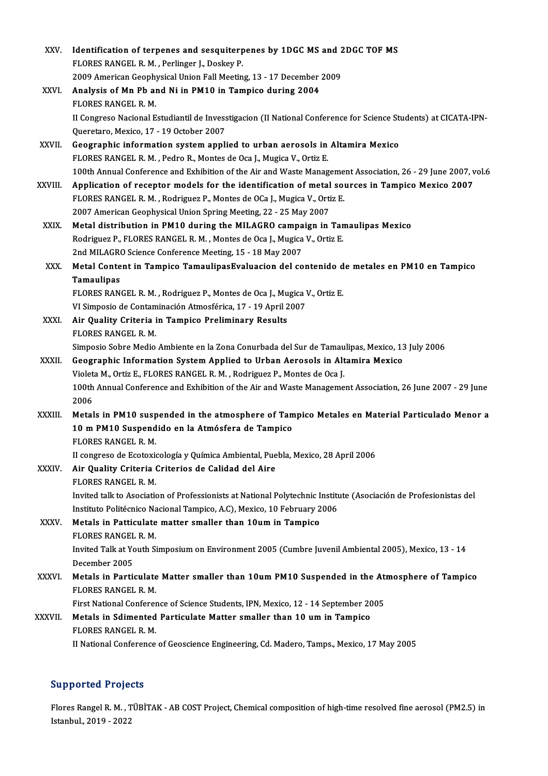| XXV.         | Identification of terpenes and sesquiterpenes by 1DGC MS and 2DGC TOF MS                                         |
|--------------|------------------------------------------------------------------------------------------------------------------|
|              | FLORES RANGEL R. M., Perlinger J., Doskey P.                                                                     |
|              | 2009 American Geophysical Union Fall Meeting, 13 - 17 December 2009                                              |
| XXVI.        | Analysis of Mn Pb and Ni in PM10 in Tampico during 2004                                                          |
|              | FLORES RANGEL R. M.                                                                                              |
|              | II Congreso Nacional Estudiantil de Invesstigacion (II National Conference for Science Students) at CICATA-IPN-  |
|              | Queretaro, Mexico, 17 - 19 October 2007                                                                          |
| XXVII.       | Geographic information system applied to urban aerosols in Altamira Mexico                                       |
|              | FLORES RANGEL R. M., Pedro R., Montes de Oca J., Mugica V., Ortiz E.                                             |
|              | 100th Annual Conference and Exhibition of the Air and Waste Management Association, 26 - 29 June 2007, vol.6     |
| XXVIII.      | Application of receptor models for the identification of metal sources in Tampico Mexico 2007                    |
|              | FLORES RANGEL R. M., Rodriguez P., Montes de OCa J., Mugica V., Ortiz E.                                         |
|              | 2007 American Geophysical Union Spring Meeting, 22 - 25 May 2007                                                 |
| <b>XXIX</b>  | Metal distribution in PM10 during the MILAGRO campaign in Tamaulipas Mexico                                      |
|              | Rodriguez P., FLORES RANGEL R. M., Montes de Oca J., Mugica V., Ortiz E.                                         |
|              | 2nd MILAGRO Science Conference Meeting, 15 - 18 May 2007                                                         |
| XXX.         | Metal Content in Tampico TamaulipasEvaluacion del contenido de metales en PM10 en Tampico                        |
|              | Tamaulipas                                                                                                       |
|              | FLORES RANGEL R. M., Rodriguez P., Montes de Oca J., Mugica V., Ortiz E.                                         |
|              | VI Simposio de Contaminación Atmosférica, 17 - 19 April 2007                                                     |
| XXXI.        | Air Quality Criteria in Tampico Preliminary Results<br><b>FLORES RANGEL R. M.</b>                                |
|              | Simposio Sobre Medio Ambiente en la Zona Conurbada del Sur de Tamaulipas, Mexico, 13 July 2006                   |
| <b>XXXII</b> | Geographic Information System Applied to Urban Aerosols in Altamira Mexico                                       |
|              | Violeta M., Ortiz E., FLORES RANGEL R. M., Rodriguez P., Montes de Oca J.                                        |
|              | 100th Annual Conference and Exhibition of the Air and Waste Management Association, 26 June 2007 - 29 June       |
|              | 2006                                                                                                             |
| XXXIII.      | Metals in PM10 suspended in the atmosphere of Tampico Metales en Material Particulado Menor a                    |
|              | 10 m PM10 Suspendido en la Atmósfera de Tampico                                                                  |
|              | <b>FLORES RANGEL R. M.</b>                                                                                       |
|              | II congreso de Ecotoxicología y Química Ambiental, Puebla, Mexico, 28 April 2006                                 |
| XXXIV.       | Air Quality Criteria Criterios de Calidad del Aire                                                               |
|              | <b>FLORES RANGEL R M</b>                                                                                         |
|              | Invited talk to Asociation of Professionists at National Polytechnic Institute (Asociación de Profesionistas del |
|              | Instituto Politécnico Nacional Tampico, A.C), Mexico, 10 February 2006                                           |
| XXXV.        | Metals in Patticulate matter smaller than 10um in Tampico                                                        |
|              | FLORES RANGEL R. M.                                                                                              |
|              | Invited Talk at Youth Simposium on Environment 2005 (Cumbre Juvenil Ambiental 2005), Mexico, 13 - 14             |
|              | December 2005                                                                                                    |
| <b>XXXVI</b> | Metals in Particulate Matter smaller than 10um PM10 Suspended in the Atmosphere of Tampico                       |
|              | FLORES RANGEL R M                                                                                                |
|              | First National Conference of Science Students, IPN, Mexico, 12 - 14 September 2005                               |
| XXXVII.      | Metals in Sdimented Particulate Matter smaller than 10 um in Tampico                                             |
|              | FLORES RANGEL R M                                                                                                |
|              | II National Conference of Geoscience Engineering, Cd. Madero, Tamps., Mexico, 17 May 2005                        |
|              |                                                                                                                  |

# Supported Projects

Supported Projects<br>Flores Rangel R. M. , TÜBİTAK - AB COST Project, Chemical composition of high-time resolved fine aerosol (PM2.5) in Supported Trojet<br>Flores Rangel R. M. , T<br>Istanbul., 2019 - 2022